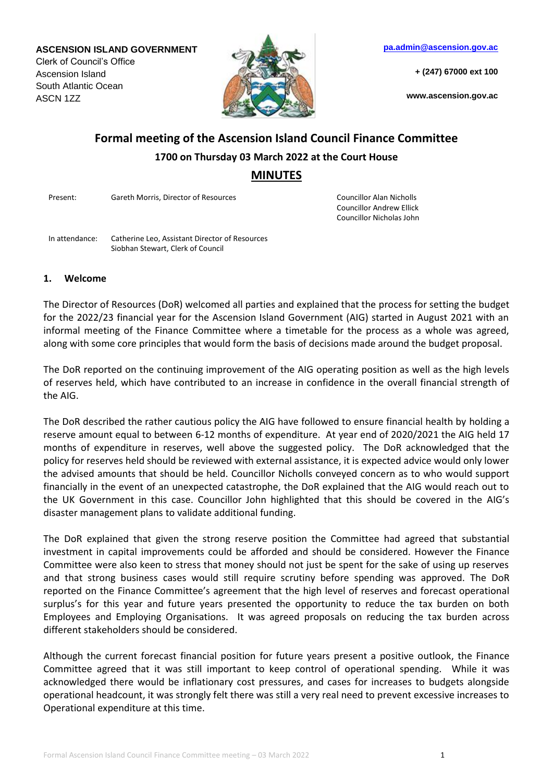**ASCENSION ISLAND GOVERNMENT**

Clerk of Council's Office Ascension Island South Atlantic Ocean ASCN 1ZZ



**[pa.admin@ascension.gov.ac](mailto:pa.admin@ascension.gov.ac)**

**+ (247) 67000 ext 100**

**www.ascension.gov.ac**

# **Formal meeting of the Ascension Island Council Finance Committee 1700 on Thursday 03 March 2022 at the Court House MINUTES**

Present: Gareth Morris, Director of Resources Councillor Alan Nicholls

Councillor Andrew Ellick Councillor Nicholas John

In attendance: Catherine Leo, Assistant Director of Resources Siobhan Stewart, Clerk of Council

#### **1. Welcome**

The Director of Resources (DoR) welcomed all parties and explained that the process for setting the budget for the 2022/23 financial year for the Ascension Island Government (AIG) started in August 2021 with an informal meeting of the Finance Committee where a timetable for the process as a whole was agreed, along with some core principles that would form the basis of decisions made around the budget proposal.

The DoR reported on the continuing improvement of the AIG operating position as well as the high levels of reserves held, which have contributed to an increase in confidence in the overall financial strength of the AIG.

The DoR described the rather cautious policy the AIG have followed to ensure financial health by holding a reserve amount equal to between 6-12 months of expenditure. At year end of 2020/2021 the AIG held 17 months of expenditure in reserves, well above the suggested policy. The DoR acknowledged that the policy for reserves held should be reviewed with external assistance, it is expected advice would only lower the advised amounts that should be held. Councillor Nicholls conveyed concern as to who would support financially in the event of an unexpected catastrophe, the DoR explained that the AIG would reach out to the UK Government in this case. Councillor John highlighted that this should be covered in the AIG's disaster management plans to validate additional funding.

The DoR explained that given the strong reserve position the Committee had agreed that substantial investment in capital improvements could be afforded and should be considered. However the Finance Committee were also keen to stress that money should not just be spent for the sake of using up reserves and that strong business cases would still require scrutiny before spending was approved. The DoR reported on the Finance Committee's agreement that the high level of reserves and forecast operational surplus's for this year and future years presented the opportunity to reduce the tax burden on both Employees and Employing Organisations. It was agreed proposals on reducing the tax burden across different stakeholders should be considered.

Although the current forecast financial position for future years present a positive outlook, the Finance Committee agreed that it was still important to keep control of operational spending. While it was acknowledged there would be inflationary cost pressures, and cases for increases to budgets alongside operational headcount, it was strongly felt there was still a very real need to prevent excessive increases to Operational expenditure at this time.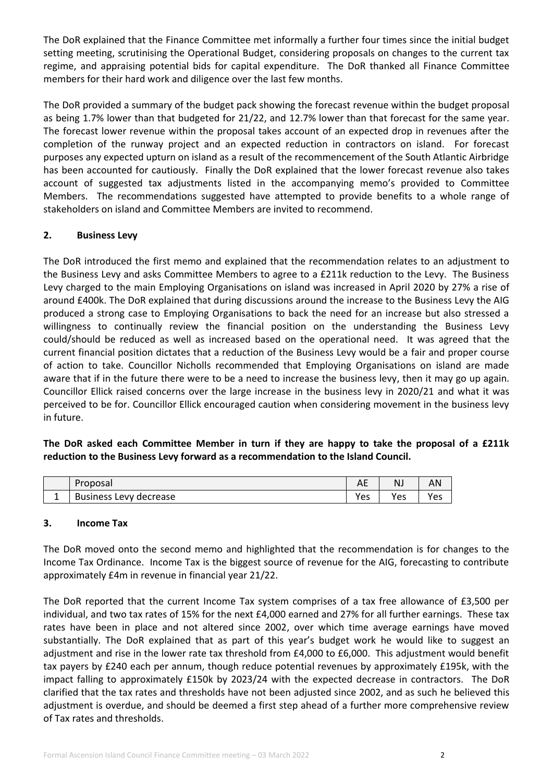The DoR explained that the Finance Committee met informally a further four times since the initial budget setting meeting, scrutinising the Operational Budget, considering proposals on changes to the current tax regime, and appraising potential bids for capital expenditure. The DoR thanked all Finance Committee members for their hard work and diligence over the last few months.

The DoR provided a summary of the budget pack showing the forecast revenue within the budget proposal as being 1.7% lower than that budgeted for 21/22, and 12.7% lower than that forecast for the same year. The forecast lower revenue within the proposal takes account of an expected drop in revenues after the completion of the runway project and an expected reduction in contractors on island. For forecast purposes any expected upturn on island as a result of the recommencement of the South Atlantic Airbridge has been accounted for cautiously. Finally the DoR explained that the lower forecast revenue also takes account of suggested tax adjustments listed in the accompanying memo's provided to Committee Members. The recommendations suggested have attempted to provide benefits to a whole range of stakeholders on island and Committee Members are invited to recommend.

## **2. Business Levy**

The DoR introduced the first memo and explained that the recommendation relates to an adjustment to the Business Levy and asks Committee Members to agree to a £211k reduction to the Levy. The Business Levy charged to the main Employing Organisations on island was increased in April 2020 by 27% a rise of around £400k. The DoR explained that during discussions around the increase to the Business Levy the AIG produced a strong case to Employing Organisations to back the need for an increase but also stressed a willingness to continually review the financial position on the understanding the Business Levy could/should be reduced as well as increased based on the operational need. It was agreed that the current financial position dictates that a reduction of the Business Levy would be a fair and proper course of action to take. Councillor Nicholls recommended that Employing Organisations on island are made aware that if in the future there were to be a need to increase the business levy, then it may go up again. Councillor Ellick raised concerns over the large increase in the business levy in 2020/21 and what it was perceived to be for. Councillor Ellick encouraged caution when considering movement in the business levy in future.

**The DoR asked each Committee Member in turn if they are happy to take the proposal of a £211k reduction to the Business Levy forward as a recommendation to the Island Council.**

| Proposal               | $\sim$ $\sim$<br>⌒∟ | NJ  | AN       |
|------------------------|---------------------|-----|----------|
| Business Levy decrease | Yes                 | Yes | ۷ρς<br>ີ |

### **3. Income Tax**

The DoR moved onto the second memo and highlighted that the recommendation is for changes to the Income Tax Ordinance. Income Tax is the biggest source of revenue for the AIG, forecasting to contribute approximately £4m in revenue in financial year 21/22.

The DoR reported that the current Income Tax system comprises of a tax free allowance of £3,500 per individual, and two tax rates of 15% for the next £4,000 earned and 27% for all further earnings. These tax rates have been in place and not altered since 2002, over which time average earnings have moved substantially. The DoR explained that as part of this year's budget work he would like to suggest an adjustment and rise in the lower rate tax threshold from £4,000 to £6,000. This adjustment would benefit tax payers by £240 each per annum, though reduce potential revenues by approximately £195k, with the impact falling to approximately £150k by 2023/24 with the expected decrease in contractors. The DoR clarified that the tax rates and thresholds have not been adjusted since 2002, and as such he believed this adjustment is overdue, and should be deemed a first step ahead of a further more comprehensive review of Tax rates and thresholds.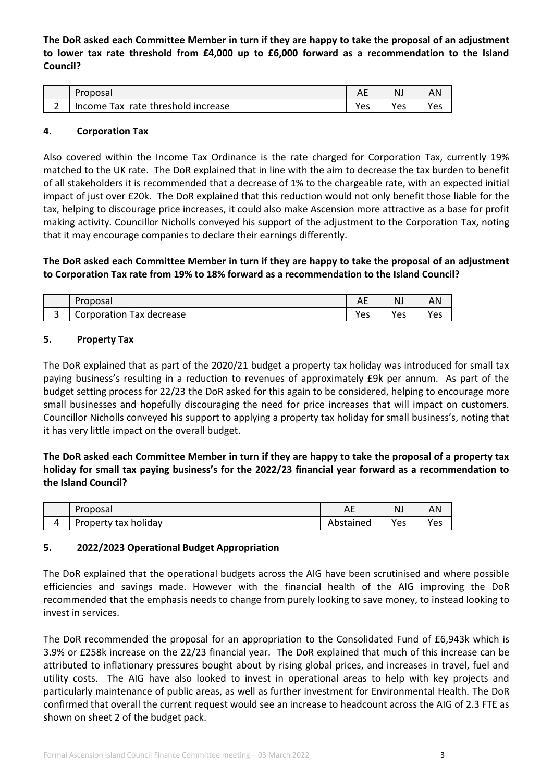**The DoR asked each Committee Member in turn if they are happy to take the proposal of an adjustment to lower tax rate threshold from £4,000 up to £6,000 forward as a recommendation to the Island Council?**

| Proposal                                 | ¬∟         | N.  | AN  |
|------------------------------------------|------------|-----|-----|
| rate threshold increase<br>Tax<br>Income | <b>Yes</b> | Yes | Yes |

#### **4. Corporation Tax**

Also covered within the Income Tax Ordinance is the rate charged for Corporation Tax, currently 19% matched to the UK rate. The DoR explained that in line with the aim to decrease the tax burden to benefit of all stakeholders it is recommended that a decrease of 1% to the chargeable rate, with an expected initial impact of just over £20k. The DoR explained that this reduction would not only benefit those liable for the tax, helping to discourage price increases, it could also make Ascension more attractive as a base for profit making activity. Councillor Nicholls conveyed his support of the adjustment to the Corporation Tax, noting that it may encourage companies to declare their earnings differently.

**The DoR asked each Committee Member in turn if they are happy to take the proposal of an adjustment to Corporation Tax rate from 19% to 18% forward as a recommendation to the Island Council?**

|   | Proposal                           | $\sim$ $\sim$<br>⌒∟ | NJ  | ΑN  |
|---|------------------------------------|---------------------|-----|-----|
| ٮ | corporation<br>Tax decrease<br>◡◡╷ | Yes                 | Yes | Yes |

#### **5. Property Tax**

The DoR explained that as part of the 2020/21 budget a property tax holiday was introduced for small tax paying business's resulting in a reduction to revenues of approximately £9k per annum. As part of the budget setting process for 22/23 the DoR asked for this again to be considered, helping to encourage more small businesses and hopefully discouraging the need for price increases that will impact on customers. Councillor Nicholls conveyed his support to applying a property tax holiday for small business's, noting that it has very little impact on the overall budget.

**The DoR asked each Committee Member in turn if they are happy to take the proposal of a property tax holiday for small tax paying business's for the 2022/23 financial year forward as a recommendation to the Island Council?**

| Proposal             | AL        | NJ  | AN  |
|----------------------|-----------|-----|-----|
| Property tax holiday | Abstained | Yes | Yes |

### **5. 2022/2023 Operational Budget Appropriation**

The DoR explained that the operational budgets across the AIG have been scrutinised and where possible efficiencies and savings made. However with the financial health of the AIG improving the DoR recommended that the emphasis needs to change from purely looking to save money, to instead looking to invest in services.

The DoR recommended the proposal for an appropriation to the Consolidated Fund of £6,943k which is 3.9% or £258k increase on the 22/23 financial year. The DoR explained that much of this increase can be attributed to inflationary pressures bought about by rising global prices, and increases in travel, fuel and utility costs. The AIG have also looked to invest in operational areas to help with key projects and particularly maintenance of public areas, as well as further investment for Environmental Health. The DoR confirmed that overall the current request would see an increase to headcount across the AIG of 2.3 FTE as shown on sheet 2 of the budget pack.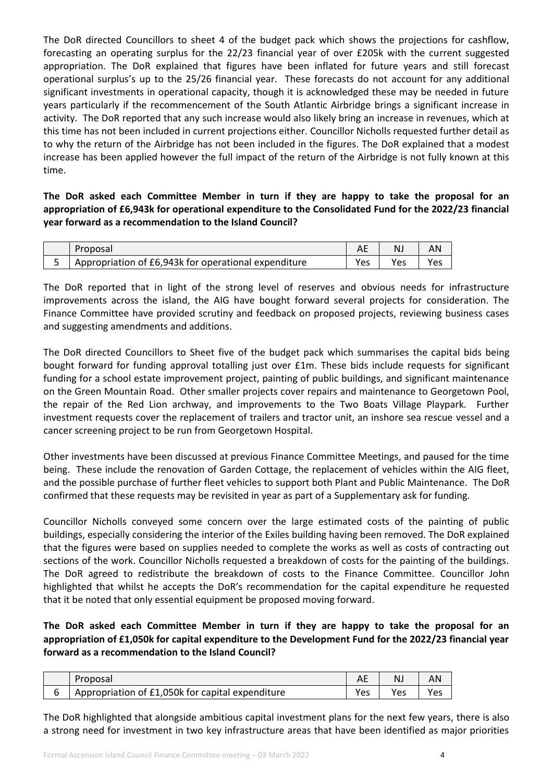The DoR directed Councillors to sheet 4 of the budget pack which shows the projections for cashflow, forecasting an operating surplus for the 22/23 financial year of over £205k with the current suggested appropriation. The DoR explained that figures have been inflated for future years and still forecast operational surplus's up to the 25/26 financial year. These forecasts do not account for any additional significant investments in operational capacity, though it is acknowledged these may be needed in future years particularly if the recommencement of the South Atlantic Airbridge brings a significant increase in activity. The DoR reported that any such increase would also likely bring an increase in revenues, which at this time has not been included in current projections either. Councillor Nicholls requested further detail as to why the return of the Airbridge has not been included in the figures. The DoR explained that a modest increase has been applied however the full impact of the return of the Airbridge is not fully known at this time.

**The DoR asked each Committee Member in turn if they are happy to take the proposal for an appropriation of £6,943k for operational expenditure to the Consolidated Fund for the 2022/23 financial year forward as a recommendation to the Island Council?**

| Proposal                                             |     | N   | AN  |
|------------------------------------------------------|-----|-----|-----|
| Appropriation of £6,943k for operational expenditure | Yes | Yes | Yes |

The DoR reported that in light of the strong level of reserves and obvious needs for infrastructure improvements across the island, the AIG have bought forward several projects for consideration. The Finance Committee have provided scrutiny and feedback on proposed projects, reviewing business cases and suggesting amendments and additions.

The DoR directed Councillors to Sheet five of the budget pack which summarises the capital bids being bought forward for funding approval totalling just over £1m. These bids include requests for significant funding for a school estate improvement project, painting of public buildings, and significant maintenance on the Green Mountain Road. Other smaller projects cover repairs and maintenance to Georgetown Pool, the repair of the Red Lion archway, and improvements to the Two Boats Village Playpark. Further investment requests cover the replacement of trailers and tractor unit, an inshore sea rescue vessel and a cancer screening project to be run from Georgetown Hospital.

Other investments have been discussed at previous Finance Committee Meetings, and paused for the time being. These include the renovation of Garden Cottage, the replacement of vehicles within the AIG fleet, and the possible purchase of further fleet vehicles to support both Plant and Public Maintenance. The DoR confirmed that these requests may be revisited in year as part of a Supplementary ask for funding.

Councillor Nicholls conveyed some concern over the large estimated costs of the painting of public buildings, especially considering the interior of the Exiles building having been removed. The DoR explained that the figures were based on supplies needed to complete the works as well as costs of contracting out sections of the work. Councillor Nicholls requested a breakdown of costs for the painting of the buildings. The DoR agreed to redistribute the breakdown of costs to the Finance Committee. Councillor John highlighted that whilst he accepts the DoR's recommendation for the capital expenditure he requested that it be noted that only essential equipment be proposed moving forward.

**The DoR asked each Committee Member in turn if they are happy to take the proposal for an appropriation of £1,050k for capital expenditure to the Development Fund for the 2022/23 financial year forward as a recommendation to the Island Council?**

| Proposal                                         |      | N.  | AN  |
|--------------------------------------------------|------|-----|-----|
| Appropriation of £1,050k for capital expenditure | Yes. | Yes | Yes |

The DoR highlighted that alongside ambitious capital investment plans for the next few years, there is also a strong need for investment in two key infrastructure areas that have been identified as major priorities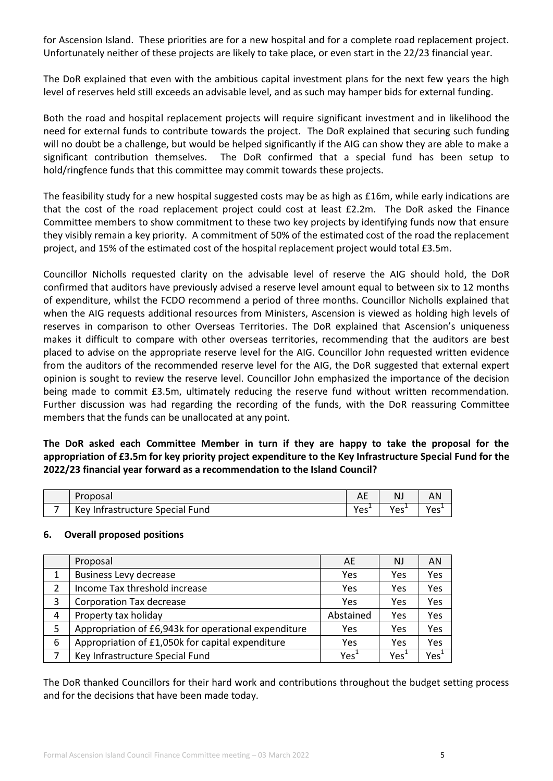for Ascension Island. These priorities are for a new hospital and for a complete road replacement project. Unfortunately neither of these projects are likely to take place, or even start in the 22/23 financial year.

The DoR explained that even with the ambitious capital investment plans for the next few years the high level of reserves held still exceeds an advisable level, and as such may hamper bids for external funding.

Both the road and hospital replacement projects will require significant investment and in likelihood the need for external funds to contribute towards the project. The DoR explained that securing such funding will no doubt be a challenge, but would be helped significantly if the AIG can show they are able to make a significant contribution themselves. The DoR confirmed that a special fund has been setup to hold/ringfence funds that this committee may commit towards these projects.

The feasibility study for a new hospital suggested costs may be as high as £16m, while early indications are that the cost of the road replacement project could cost at least £2.2m. The DoR asked the Finance Committee members to show commitment to these two key projects by identifying funds now that ensure they visibly remain a key priority. A commitment of 50% of the estimated cost of the road the replacement project, and 15% of the estimated cost of the hospital replacement project would total £3.5m.

Councillor Nicholls requested clarity on the advisable level of reserve the AIG should hold, the DoR confirmed that auditors have previously advised a reserve level amount equal to between six to 12 months of expenditure, whilst the FCDO recommend a period of three months. Councillor Nicholls explained that when the AIG requests additional resources from Ministers, Ascension is viewed as holding high levels of reserves in comparison to other Overseas Territories. The DoR explained that Ascension's uniqueness makes it difficult to compare with other overseas territories, recommending that the auditors are best placed to advise on the appropriate reserve level for the AIG. Councillor John requested written evidence from the auditors of the recommended reserve level for the AIG, the DoR suggested that external expert opinion is sought to review the reserve level. Councillor John emphasized the importance of the decision being made to commit £3.5m, ultimately reducing the reserve fund without written recommendation. Further discussion was had regarding the recording of the funds, with the DoR reassuring Committee members that the funds can be unallocated at any point.

**The DoR asked each Committee Member in turn if they are happy to take the proposal for the appropriation of £3.5m for key priority project expenditure to the Key Infrastructure Special Fund for the 2022/23 financial year forward as a recommendation to the Island Council?**

|   | <sup>o</sup> roposal            | ¬∟               |        | AN               |
|---|---------------------------------|------------------|--------|------------------|
| - | Key Infrastructure Special Fund | Yes <sup>+</sup> | $Yes+$ | Yes <sup>+</sup> |

### **6. Overall proposed positions**

|   | Proposal                                             | AE               | <b>NJ</b> | AN               |
|---|------------------------------------------------------|------------------|-----------|------------------|
| 1 | <b>Business Levy decrease</b>                        | Yes              | Yes       | Yes              |
| 2 | Income Tax threshold increase                        | Yes              | Yes       | Yes              |
| 3 | <b>Corporation Tax decrease</b>                      | Yes              | Yes       | Yes              |
| 4 | Property tax holiday                                 | Abstained        | Yes       | Yes              |
| 5 | Appropriation of £6,943k for operational expenditure | Yes              | Yes       | Yes              |
| 6 | Appropriation of £1,050k for capital expenditure     | Yes              | Yes       | Yes              |
|   | Key Infrastructure Special Fund                      | Yes <sup>1</sup> | Yes       | Yes <sup>1</sup> |

The DoR thanked Councillors for their hard work and contributions throughout the budget setting process and for the decisions that have been made today.